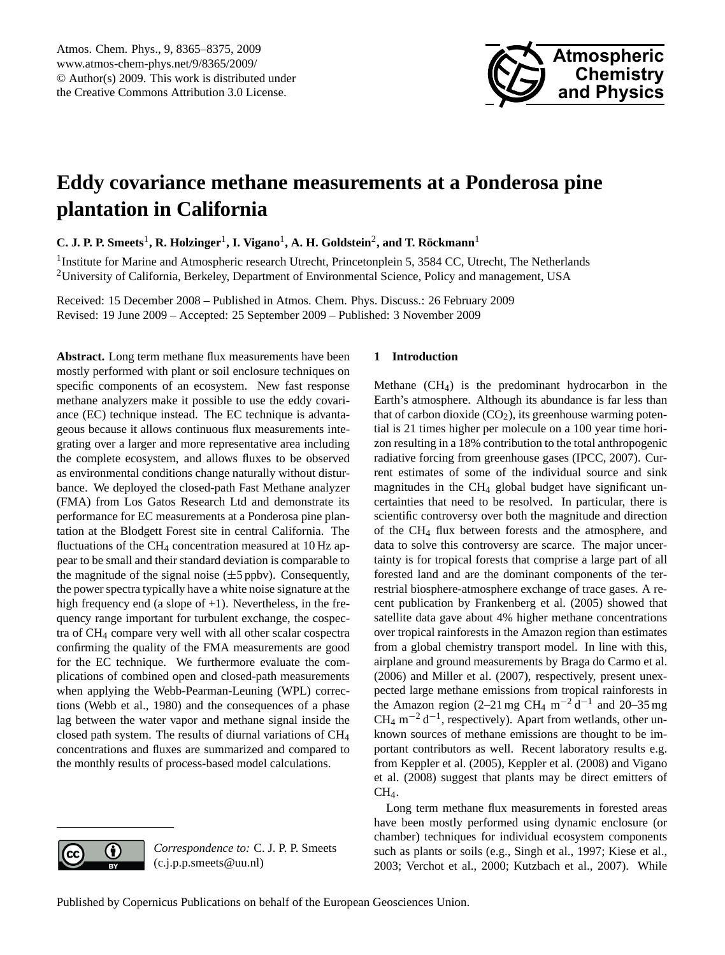

# <span id="page-0-0"></span>**Eddy covariance methane measurements at a Ponderosa pine plantation in California**

C. J. P. P. Smeets<sup>1</sup>, R. Holzinger<sup>1</sup>, I. Vigano<sup>1</sup>, A. H. Goldstein<sup>2</sup>, and T. Röckmann<sup>1</sup>

<sup>1</sup>Institute for Marine and Atmospheric research Utrecht, Princetonplein 5, 3584 CC, Utrecht, The Netherlands <sup>2</sup>University of California, Berkeley, Department of Environmental Science, Policy and management, USA

Received: 15 December 2008 – Published in Atmos. Chem. Phys. Discuss.: 26 February 2009 Revised: 19 June 2009 – Accepted: 25 September 2009 – Published: 3 November 2009

**Abstract.** Long term methane flux measurements have been mostly performed with plant or soil enclosure techniques on specific components of an ecosystem. New fast response methane analyzers make it possible to use the eddy covariance (EC) technique instead. The EC technique is advantageous because it allows continuous flux measurements integrating over a larger and more representative area including the complete ecosystem, and allows fluxes to be observed as environmental conditions change naturally without disturbance. We deployed the closed-path Fast Methane analyzer (FMA) from Los Gatos Research Ltd and demonstrate its performance for EC measurements at a Ponderosa pine plantation at the Blodgett Forest site in central California. The fluctuations of the CH<sub>4</sub> concentration measured at 10 Hz appear to be small and their standard deviation is comparable to the magnitude of the signal noise  $(\pm 5$  ppbv). Consequently, the power spectra typically have a white noise signature at the high frequency end (a slope of  $+1$ ). Nevertheless, in the frequency range important for turbulent exchange, the cospectra of CH<sup>4</sup> compare very well with all other scalar cospectra confirming the quality of the FMA measurements are good for the EC technique. We furthermore evaluate the complications of combined open and closed-path measurements when applying the Webb-Pearman-Leuning (WPL) corrections [\(Webb et al.,](#page-10-0) [1980\)](#page-10-0) and the consequences of a phase lag between the water vapor and methane signal inside the closed path system. The results of diurnal variations of CH<sup>4</sup> concentrations and fluxes are summarized and compared to the monthly results of process-based model calculations.

# **1 Introduction**

Methane (CH4) is the predominant hydrocarbon in the Earth's atmosphere. Although its abundance is far less than that of carbon dioxide  $(CO<sub>2</sub>)$ , its greenhouse warming potential is 21 times higher per molecule on a 100 year time horizon resulting in a 18% contribution to the total anthropogenic radiative forcing from greenhouse gases [\(IPCC,](#page-9-0) [2007\)](#page-9-0). Current estimates of some of the individual source and sink magnitudes in the  $CH<sub>4</sub>$  global budget have significant uncertainties that need to be resolved. In particular, there is scientific controversy over both the magnitude and direction of the CH<sup>4</sup> flux between forests and the atmosphere, and data to solve this controversy are scarce. The major uncertainty is for tropical forests that comprise a large part of all forested land and are the dominant components of the terrestrial biosphere-atmosphere exchange of trace gases. A recent publication by [Frankenberg et al.](#page-9-1) [\(2005\)](#page-9-1) showed that satellite data gave about 4% higher methane concentrations over tropical rainforests in the Amazon region than estimates from a global chemistry transport model. In line with this, airplane and ground measurements by [Braga do Carmo et al.](#page-8-0) [\(2006\)](#page-8-0) and [Miller et al.](#page-9-2) [\(2007\)](#page-9-2), respectively, present unexpected large methane emissions from tropical rainforests in the Amazon region (2–21 mg CH<sub>4</sub> m<sup>-2</sup> d<sup>-1</sup> and 20–35 mg CH<sub>4</sub> m<sup>-2</sup> d<sup>-1</sup>, respectively). Apart from wetlands, other unknown sources of methane emissions are thought to be important contributors as well. Recent laboratory results e.g. from [Keppler et al.](#page-9-3) [\(2005\)](#page-9-3), [Keppler et al.](#page-9-4) [\(2008\)](#page-9-4) and [Vigano](#page-10-1) [et al.](#page-10-1) [\(2008\)](#page-10-1) suggest that plants may be direct emitters of CH4.

Long term methane flux measurements in forested areas have been mostly performed using dynamic enclosure (or chamber) techniques for individual ecosystem components such as plants or soils (e.g., [Singh et al.,](#page-9-5) [1997;](#page-9-5) [Kiese et al.,](#page-9-6) [2003;](#page-9-6) [Verchot et al.,](#page-10-2) [2000;](#page-10-2) [Kutzbach et al.,](#page-9-7) [2007\)](#page-9-7). While



*Correspondence to:* C. J. P. P. Smeets (c.j.p.p.smeets@uu.nl)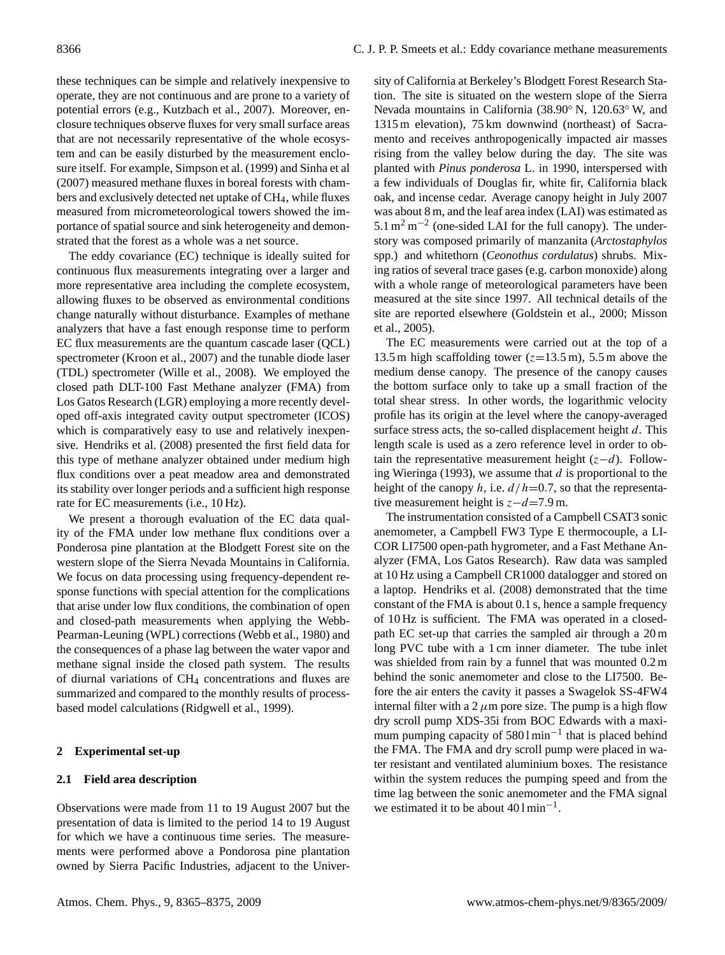these techniques can be simple and relatively inexpensive to operate, they are not continuous and are prone to a variety of potential errors (e.g., [Kutzbach et al.,](#page-9-7) [2007\)](#page-9-7). Moreover, enclosure techniques observe fluxes for very small surface areas that are not necessarily representative of the whole ecosystem and can be easily disturbed by the measurement enclosure itself. For example, [Simpson et al.](#page-9-8) [\(1999\)](#page-9-8) and [Sinha et al](#page-9-9) [\(2007\)](#page-9-9) measured methane fluxes in boreal forests with chambers and exclusively detected net uptake of CH<sub>4</sub>, while fluxes measured from micrometeorological towers showed the importance of spatial source and sink heterogeneity and demonstrated that the forest as a whole was a net source.

The eddy covariance (EC) technique is ideally suited for continuous flux measurements integrating over a larger and more representative area including the complete ecosystem, allowing fluxes to be observed as environmental conditions change naturally without disturbance. Examples of methane analyzers that have a fast enough response time to perform EC flux measurements are the quantum cascade laser (QCL) spectrometer [\(Kroon et al.,](#page-9-10) [2007\)](#page-9-10) and the tunable diode laser (TDL) spectrometer [\(Wille et al.,](#page-10-3) [2008\)](#page-10-3). We employed the closed path DLT-100 Fast Methane analyzer (FMA) from Los Gatos Research (LGR) employing a more recently developed off-axis integrated cavity output spectrometer (ICOS) which is comparatively easy to use and relatively inexpensive. [Hendriks et al.](#page-9-11) [\(2008\)](#page-9-11) presented the first field data for this type of methane analyzer obtained under medium high flux conditions over a peat meadow area and demonstrated its stability over longer periods and a sufficient high response rate for EC measurements (i.e., 10 Hz).

We present a thorough evaluation of the EC data quality of the FMA under low methane flux conditions over a Ponderosa pine plantation at the Blodgett Forest site on the western slope of the Sierra Nevada Mountains in California. We focus on data processing using frequency-dependent response functions with special attention for the complications that arise under low flux conditions, the combination of open and closed-path measurements when applying the Webb-Pearman-Leuning (WPL) corrections [\(Webb et al.,](#page-10-0) [1980\)](#page-10-0) and the consequences of a phase lag between the water vapor and methane signal inside the closed path system. The results of diurnal variations of CH<sup>4</sup> concentrations and fluxes are summarized and compared to the monthly results of processbased model calculations [\(Ridgwell et al.,](#page-9-12) [1999\)](#page-9-12).

# **2 Experimental set-up**

# **2.1 Field area description**

Observations were made from 11 to 19 August 2007 but the presentation of data is limited to the period 14 to 19 August for which we have a continuous time series. The measurements were performed above a Pondorosa pine plantation owned by Sierra Pacific Industries, adjacent to the University of California at Berkeley's Blodgett Forest Research Station. The site is situated on the western slope of the Sierra Nevada mountains in California (38.90◦ N, 120.63◦ W, and 1315 m elevation), 75 km downwind (northeast) of Sacramento and receives anthropogenically impacted air masses rising from the valley below during the day. The site was planted with *Pinus ponderosa* L. in 1990, interspersed with a few individuals of Douglas fir, white fir, California black oak, and incense cedar. Average canopy height in July 2007 was about 8 m, and the leaf area index (LAI) was estimated as  $5.1 \text{ m}^2 \text{ m}^{-2}$  (one-sided LAI for the full canopy). The understory was composed primarily of manzanita (*Arctostaphylos* spp.) and whitethorn (*Ceonothus cordulatus*) shrubs. Mixing ratios of several trace gases (e.g. carbon monoxide) along with a whole range of meteorological parameters have been measured at the site since 1997. All technical details of the site are reported elsewhere [\(Goldstein et al.,](#page-9-13) [2000;](#page-9-13) [Misson](#page-9-14) [et al.,](#page-9-14) [2005\)](#page-9-14).

The EC measurements were carried out at the top of a 13.5 m high scaffolding tower  $(z=13.5 \text{ m})$ , 5.5 m above the medium dense canopy. The presence of the canopy causes the bottom surface only to take up a small fraction of the total shear stress. In other words, the logarithmic velocity profile has its origin at the level where the canopy-averaged surface stress acts, the so-called displacement height  $d$ . This length scale is used as a zero reference level in order to obtain the representative measurement height  $(z-d)$ . Follow-ing [Wieringa](#page-10-4) [\(1993\)](#page-10-4), we assume that  $d$  is proportional to the height of the canopy h, i.e.  $d/h=0.7$ , so that the representative measurement height is  $z-d=7.9$  m.

The instrumentation consisted of a Campbell CSAT3 sonic anemometer, a Campbell FW3 Type E thermocouple, a LI-COR LI7500 open-path hygrometer, and a Fast Methane Analyzer (FMA, Los Gatos Research). Raw data was sampled at 10 Hz using a Campbell CR1000 datalogger and stored on a laptop. [Hendriks et al.](#page-9-11) [\(2008\)](#page-9-11) demonstrated that the time constant of the FMA is about 0.1 s, hence a sample frequency of 10 Hz is sufficient. The FMA was operated in a closedpath EC set-up that carries the sampled air through a 20 m long PVC tube with a 1 cm inner diameter. The tube inlet was shielded from rain by a funnel that was mounted 0.2 m behind the sonic anemometer and close to the LI7500. Before the air enters the cavity it passes a Swagelok SS-4FW4 internal filter with a  $2 \mu m$  pore size. The pump is a high flow dry scroll pump XDS-35i from BOC Edwards with a maximum pumping capacity of 5801min<sup>-1</sup> that is placed behind the FMA. The FMA and dry scroll pump were placed in water resistant and ventilated aluminium boxes. The resistance within the system reduces the pumping speed and from the time lag between the sonic anemometer and the FMA signal we estimated it to be about 40 l min<sup>-1</sup>.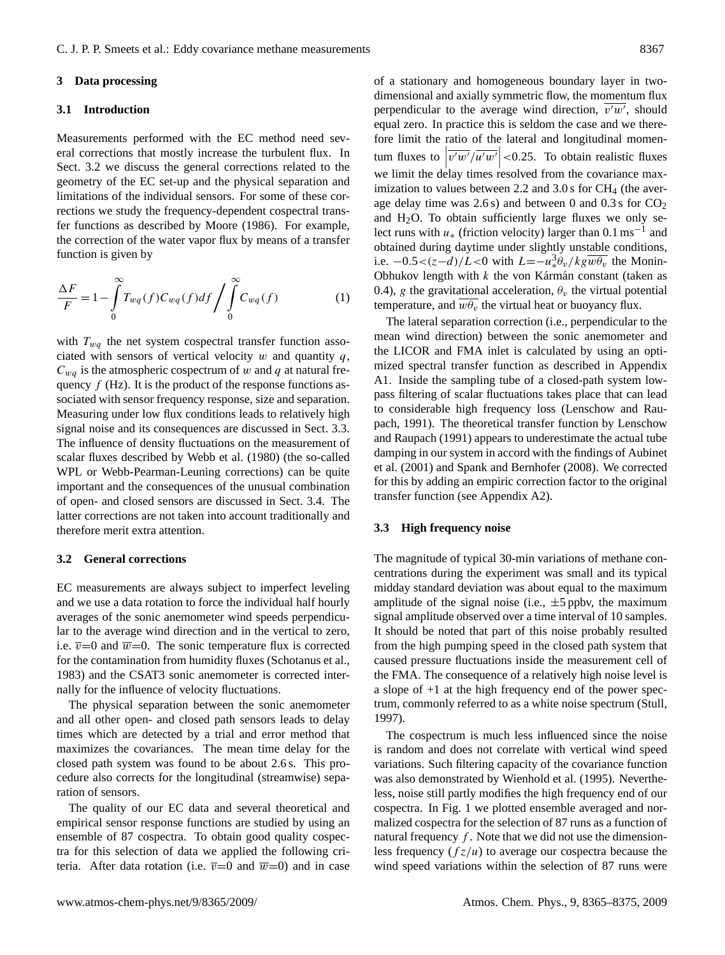# **3 Data processing**

# **3.1 Introduction**

Measurements performed with the EC method need several corrections that mostly increase the turbulent flux. In Sect. [3.2](#page-2-0) we discuss the general corrections related to the geometry of the EC set-up and the physical separation and limitations of the individual sensors. For some of these corrections we study the frequency-dependent cospectral transfer functions as described by [Moore](#page-9-15) [\(1986\)](#page-9-15). For example, the correction of the water vapor flux by means of a transfer function is given by

$$
\frac{\Delta F}{F} = 1 - \int_{0}^{\infty} T_{wq}(f) C_{wq}(f) df / \int_{0}^{\infty} C_{wq}(f)
$$
 (1)

with  $T_{wq}$  the net system cospectral transfer function associated with sensors of vertical velocity  $w$  and quantity  $q$ ,  $C_{wa}$  is the atmospheric cospectrum of w and q at natural frequency  $f$  (Hz). It is the product of the response functions associated with sensor frequency response, size and separation. Measuring under low flux conditions leads to relatively high signal noise and its consequences are discussed in Sect. [3.3.](#page-2-1) The influence of density fluctuations on the measurement of scalar fluxes described by [Webb et al.](#page-10-0) [\(1980\)](#page-10-0) (the so-called WPL or Webb-Pearman-Leuning corrections) can be quite important and the consequences of the unusual combination of open- and closed sensors are discussed in Sect. [3.4.](#page-3-0) The latter corrections are not taken into account traditionally and therefore merit extra attention.

## <span id="page-2-0"></span>**3.2 General corrections**

EC measurements are always subject to imperfect leveling and we use a data rotation to force the individual half hourly averages of the sonic anemometer wind speeds perpendicular to the average wind direction and in the vertical to zero, i.e.  $\overline{v}=0$  and  $\overline{w}=0$ . The sonic temperature flux is corrected for the contamination from humidity fluxes [\(Schotanus et al.,](#page-9-16) [1983\)](#page-9-16) and the CSAT3 sonic anemometer is corrected internally for the influence of velocity fluctuations.

The physical separation between the sonic anemometer and all other open- and closed path sensors leads to delay times which are detected by a trial and error method that maximizes the covariances. The mean time delay for the closed path system was found to be about 2.6 s. This procedure also corrects for the longitudinal (streamwise) separation of sensors.

The quality of our EC data and several theoretical and empirical sensor response functions are studied by using an ensemble of 87 cospectra. To obtain good quality cospectra for this selection of data we applied the following criteria. After data rotation (i.e.  $\overline{v}=0$  and  $\overline{w}=0$ ) and in case of a stationary and homogeneous boundary layer in twodimensional and axially symmetric flow, the momentum flux perpendicular to the average wind direction,  $\overline{v'w'}$ , should equal zero. In practice this is seldom the case and we therefore limit the ratio of the lateral and longitudinal momentum fluxes to  $\left|\overline{v'w'}/\overline{u'w'}\right|$  <0.25. To obtain realistic fluxes we limit the delay times resolved from the covariance maximization to values between 2.2 and  $3.0$  s for CH<sub>4</sub> (the average delay time was 2.6 s) and between 0 and 0.3 s for  $CO<sub>2</sub>$ and  $H<sub>2</sub>O$ . To obtain sufficiently large fluxes we only select runs with  $u$ <sub>\*</sub> (friction velocity) larger than 0.1 ms<sup>-1</sup> and obtained during daytime under slightly unstable conditions, i.e.  $-0.5 < (z-d)/L < 0$  with  $L = -u_*^3 \theta_v / k g \overline{w \theta_v}$  the Monin-Obhukov length with  $k$  the von Kármán constant (taken as 0.4), g the gravitational acceleration,  $\theta_{v}$  the virtual potential temperature, and  $\overline{w\theta_v}$  the virtual heat or buoyancy flux.

The lateral separation correction (i.e., perpendicular to the mean wind direction) between the sonic anemometer and the LICOR and FMA inlet is calculated by using an optimized spectral transfer function as described in Appendix A1. Inside the sampling tube of a closed-path system lowpass filtering of scalar fluctuations takes place that can lead to considerable high frequency loss [\(Lenschow and Rau](#page-9-17)[pach,](#page-9-17) [1991\)](#page-9-17). The theoretical transfer function by [Lenschow](#page-9-17) [and Raupach](#page-9-17) [\(1991\)](#page-9-17) appears to underestimate the actual tube damping in our system in accord with the findings of [Aubinet](#page-8-1) [et al.](#page-8-1) [\(2001\)](#page-8-1) and [Spank and Bernhofer](#page-10-5) [\(2008\)](#page-10-5). We corrected for this by adding an empiric correction factor to the original transfer function (see Appendix A2).

# <span id="page-2-1"></span>**3.3 High frequency noise**

The magnitude of typical 30-min variations of methane concentrations during the experiment was small and its typical midday standard deviation was about equal to the maximum amplitude of the signal noise (i.e.,  $\pm 5$  ppbv, the maximum signal amplitude observed over a time interval of 10 samples. It should be noted that part of this noise probably resulted from the high pumping speed in the closed path system that caused pressure fluctuations inside the measurement cell of the FMA. The consequence of a relatively high noise level is a slope of +1 at the high frequency end of the power spectrum, commonly referred to as a white noise spectrum [\(Stull,](#page-10-6) [1997\)](#page-10-6).

The cospectrum is much less influenced since the noise is random and does not correlate with vertical wind speed variations. Such filtering capacity of the covariance function was also demonstrated by [Wienhold et al.](#page-10-7) [\(1995\)](#page-10-7). Nevertheless, noise still partly modifies the high frequency end of our cospectra. In Fig. [1](#page-3-1) we plotted ensemble averaged and normalized cospectra for the selection of 87 runs as a function of natural frequency  $f$ . Note that we did not use the dimensionless frequency  $(fz/u)$  to average our cospectra because the wind speed variations within the selection of 87 runs were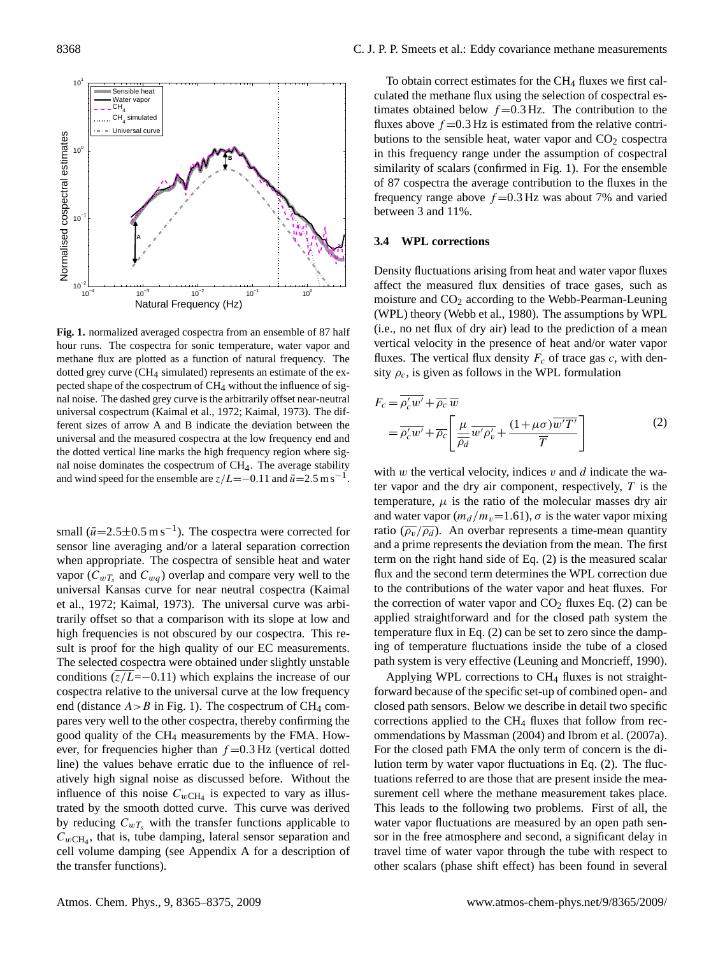

<span id="page-3-1"></span>**Fig. 1.** normalized averaged cospectra from an ensemble of 87 half hour runs. The cospectra for sonic temperature, water vapor and methane flux are plotted as a function of natural frequency. The dotted grey curve ( $CH<sub>4</sub>$  simulated) represents an estimate of the expected shape of the cospectrum of CH<sub>4</sub> without the influence of signal noise. The dashed grey curve is the arbitrarily offset near-neutral universal cospectrum [\(Kaimal et al.,](#page-9-18) [1972;](#page-9-18) [Kaimal,](#page-9-19) [1973\)](#page-9-19). The different sizes of arrow A and B indicate the deviation between the universal and the measured cospectra at the low frequency end and the dotted vertical line marks the high frequency region where signal noise dominates the cospectrum of CH4. The average stability and wind speed for the ensemble are  $z/L=-0.11$  and  $\bar{u}=2.5$  m s<sup>-1</sup>.

small  $(\bar{u}=2.5\pm0.5 \text{ m s}^{-1})$ . The cospectra were corrected for sensor line averaging and/or a lateral separation correction when appropriate. The cospectra of sensible heat and water vapor ( $C_{wT_s}$  and  $C_{wq}$ ) overlap and compare very well to the universal Kansas curve for near neutral cospectra [\(Kaimal](#page-9-18) [et al.,](#page-9-18) [1972;](#page-9-18) [Kaimal,](#page-9-19) [1973\)](#page-9-19). The universal curve was arbitrarily offset so that a comparison with its slope at low and high frequencies is not obscured by our cospectra. This result is proof for the high quality of our EC measurements. The selected cospectra were obtained under slightly unstable conditions  $(z/L=-0.11)$  which explains the increase of our cospectra relative to the universal curve at the low frequency end (distance  $A > B$  in Fig. [1\)](#page-3-1). The cospectrum of CH<sub>4</sub> compares very well to the other cospectra, thereby confirming the good quality of the CH<sup>4</sup> measurements by the FMA. However, for frequencies higher than  $f = 0.3$  Hz (vertical dotted line) the values behave erratic due to the influence of relatively high signal noise as discussed before. Without the influence of this noise  $C_{wCH_4}$  is expected to vary as illustrated by the smooth dotted curve. This curve was derived by reducing  $C_{wT_s}$  with the transfer functions applicable to  $C_{wCH_4}$ , that is, tube damping, lateral sensor separation and cell volume damping (see Appendix A for a description of the transfer functions).

To obtain correct estimates for the  $CH_4$  fluxes we first calculated the methane flux using the selection of cospectral estimates obtained below  $f = 0.3$  Hz. The contribution to the fluxes above  $f = 0.3$  Hz is estimated from the relative contributions to the sensible heat, water vapor and  $CO<sub>2</sub>$  cospectra in this frequency range under the assumption of cospectral similarity of scalars (confirmed in Fig. [1\)](#page-3-1). For the ensemble of 87 cospectra the average contribution to the fluxes in the frequency range above  $f = 0.3$  Hz was about 7% and varied between 3 and 11%.

#### <span id="page-3-0"></span>**3.4 WPL corrections**

Density fluctuations arising from heat and water vapor fluxes affect the measured flux densities of trace gases, such as moisture and  $CO<sub>2</sub>$  according to the Webb-Pearman-Leuning (WPL) theory [\(Webb et al.,](#page-10-0) [1980\)](#page-10-0). The assumptions by WPL (i.e., no net flux of dry air) lead to the prediction of a mean vertical velocity in the presence of heat and/or water vapor fluxes. The vertical flux density  $F_c$  of trace gas c, with density  $\rho_c$ , is given as follows in the WPL formulation

<span id="page-3-2"></span>
$$
F_c = \overline{\rho_c' w'} + \overline{\rho_c} \overline{w}
$$
  
=  $\overline{\rho_c' w'} + \overline{\rho_c} \left[ \frac{\mu}{\overline{\rho_d}} \overline{w' \rho_v'} + \frac{(1 + \mu \sigma) \overline{w' T'}}{\overline{T}} \right]$  (2)

with  $w$  the vertical velocity, indices  $v$  and  $d$  indicate the water vapor and the dry air component, respectively,  $T$  is the temperature,  $\mu$  is the ratio of the molecular masses dry air and water vapor  $\left(m_d / m_v=1.61\right)$ ,  $\sigma$  is the water vapor mixing ratio ( $\overline{\rho_v}/\overline{\rho_d}$ ). An overbar represents a time-mean quantity and a prime represents the deviation from the mean. The first term on the right hand side of Eq. [\(2\)](#page-3-2) is the measured scalar flux and the second term determines the WPL correction due to the contributions of the water vapor and heat fluxes. For the correction of water vapor and  $CO<sub>2</sub>$  fluxes Eq. [\(2\)](#page-3-2) can be applied straightforward and for the closed path system the temperature flux in Eq. [\(2\)](#page-3-2) can be set to zero since the damping of temperature fluctuations inside the tube of a closed path system is very effective [\(Leuning and Moncrieff,](#page-9-20) [1990\)](#page-9-20).

Applying WPL corrections to  $CH<sub>4</sub>$  fluxes is not straightforward because of the specific set-up of combined open- and closed path sensors. Below we describe in detail two specific corrections applied to the  $CH_4$  fluxes that follow from recommendations by [Massman](#page-9-21) [\(2004\)](#page-9-21) and [Ibrom et al.](#page-9-22) [\(2007a\)](#page-9-22). For the closed path FMA the only term of concern is the dilution term by water vapor fluctuations in Eq. [\(2\)](#page-3-2). The fluctuations referred to are those that are present inside the measurement cell where the methane measurement takes place. This leads to the following two problems. First of all, the water vapor fluctuations are measured by an open path sensor in the free atmosphere and second, a significant delay in travel time of water vapor through the tube with respect to other scalars (phase shift effect) has been found in several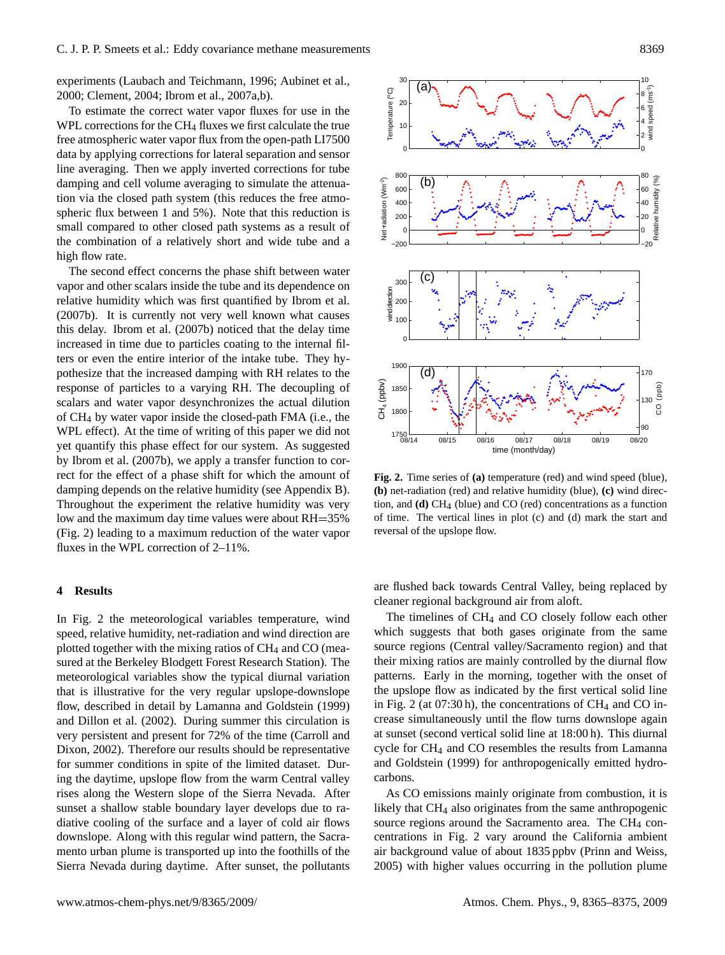experiments [\(Laubach and Teichmann,](#page-9-23) [1996;](#page-9-23) [Aubinet et al.,](#page-8-2) [2000;](#page-8-2) [Clement,](#page-8-3) [2004;](#page-8-3) [Ibrom et al.,](#page-9-22) [2007a,](#page-9-22)[b\)](#page-9-24).

To estimate the correct water vapor fluxes for use in the WPL corrections for the CH<sub>4</sub> fluxes we first calculate the true free atmospheric water vapor flux from the open-path LI7500 data by applying corrections for lateral separation and sensor line averaging. Then we apply inverted corrections for tube damping and cell volume averaging to simulate the attenuation via the closed path system (this reduces the free atmospheric flux between 1 and 5%). Note that this reduction is small compared to other closed path systems as a result of the combination of a relatively short and wide tube and a high flow rate.

The second effect concerns the phase shift between water vapor and other scalars inside the tube and its dependence on relative humidity which was first quantified by [Ibrom et al.](#page-9-24) [\(2007b\)](#page-9-24). It is currently not very well known what causes this delay. [Ibrom et al.](#page-9-24) [\(2007b\)](#page-9-24) noticed that the delay time increased in time due to particles coating to the internal filters or even the entire interior of the intake tube. They hypothesize that the increased damping with RH relates to the response of particles to a varying RH. The decoupling of scalars and water vapor desynchronizes the actual dilution of CH<sup>4</sup> by water vapor inside the closed-path FMA (i.e., the WPL effect). At the time of writing of this paper we did not yet quantify this phase effect for our system. As suggested by [Ibrom et al.](#page-9-24) [\(2007b\)](#page-9-24), we apply a transfer function to correct for the effect of a phase shift for which the amount of damping depends on the relative humidity (see Appendix B). Throughout the experiment the relative humidity was very low and the maximum day time values were about RH=35% (Fig. [2\)](#page-4-0) leading to a maximum reduction of the water vapor fluxes in the WPL correction of 2–11%.

# **4 Results**

In Fig. [2](#page-4-0) the meteorological variables temperature, wind speed, relative humidity, net-radiation and wind direction are plotted together with the mixing ratios of CH<sup>4</sup> and CO (measured at the Berkeley Blodgett Forest Research Station). The meteorological variables show the typical diurnal variation that is illustrative for the very regular upslope-downslope flow, described in detail by [Lamanna and Goldstein](#page-9-25) [\(1999\)](#page-9-25) and [Dillon et al.](#page-9-26) [\(2002\)](#page-9-26). During summer this circulation is very persistent and present for 72% of the time [\(Carroll and](#page-8-4) [Dixon,](#page-8-4) [2002\)](#page-8-4). Therefore our results should be representative for summer conditions in spite of the limited dataset. During the daytime, upslope flow from the warm Central valley rises along the Western slope of the Sierra Nevada. After sunset a shallow stable boundary layer develops due to radiative cooling of the surface and a layer of cold air flows downslope. Along with this regular wind pattern, the Sacramento urban plume is transported up into the foothills of the Sierra Nevada during daytime. After sunset, the pollutants



<span id="page-4-0"></span>**Fig. 2.** Time series of **(a)** temperature (red) and wind speed (blue), **(b)** net-radiation (red) and relative humidity (blue), **(c)** wind direction, and **(d)** CH4 (blue) and CO (red) concentrations as a function of time. The vertical lines in plot (c) and (d) mark the start and reversal of the upslope flow.

are flushed back towards Central Valley, being replaced by cleaner regional background air from aloft.

The timelines of  $CH<sub>4</sub>$  and CO closely follow each other which suggests that both gases originate from the same source regions (Central valley/Sacramento region) and that their mixing ratios are mainly controlled by the diurnal flow patterns. Early in the morning, together with the onset of the upslope flow as indicated by the first vertical solid line in Fig. [2](#page-4-0) (at  $07:30 h$ ), the concentrations of CH<sub>4</sub> and CO increase simultaneously until the flow turns downslope again at sunset (second vertical solid line at 18:00 h). This diurnal cycle for CH<sup>4</sup> and CO resembles the results from [Lamanna](#page-9-25) [and Goldstein](#page-9-25) [\(1999\)](#page-9-25) for anthropogenically emitted hydrocarbons.

As CO emissions mainly originate from combustion, it is likely that CH<sub>4</sub> also originates from the same anthropogenic source regions around the Sacramento area. The CH<sub>4</sub> concentrations in Fig. [2](#page-4-0) vary around the California ambient air background value of about 1835 ppbv [\(Prinn and Weiss,](#page-9-27) [2005\)](#page-9-27) with higher values occurring in the pollution plume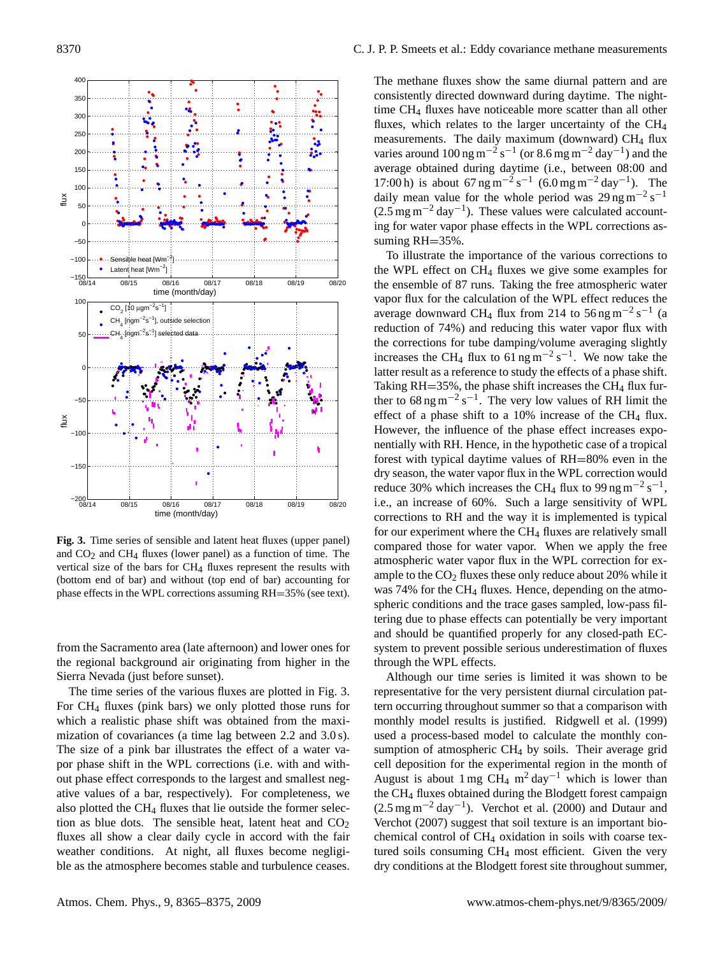

<span id="page-5-0"></span>**Fig. 3.** Time series of sensible and latent heat fluxes (upper panel) and  $CO<sub>2</sub>$  and  $CH<sub>4</sub>$  fluxes (lower panel) as a function of time. The vertical size of the bars for  $CH_4$  fluxes represent the results with (bottom end of bar) and without (top end of bar) accounting for phase effects in the WPL corrections assuming RH=35% (see text).

from the Sacramento area (late afternoon) and lower ones for the regional background air originating from higher in the Sierra Nevada (just before sunset).

The time series of the various fluxes are plotted in Fig. [3.](#page-5-0) For CH<sup>4</sup> fluxes (pink bars) we only plotted those runs for which a realistic phase shift was obtained from the maximization of covariances (a time lag between 2.2 and 3.0 s). The size of a pink bar illustrates the effect of a water vapor phase shift in the WPL corrections (i.e. with and without phase effect corresponds to the largest and smallest negative values of a bar, respectively). For completeness, we also plotted the  $CH_4$  fluxes that lie outside the former selection as blue dots. The sensible heat, latent heat and  $CO<sub>2</sub>$ fluxes all show a clear daily cycle in accord with the fair weather conditions. At night, all fluxes become negligible as the atmosphere becomes stable and turbulence ceases. The methane fluxes show the same diurnal pattern and are consistently directed downward during daytime. The nighttime CH<sup>4</sup> fluxes have noticeable more scatter than all other fluxes, which relates to the larger uncertainty of the CH<sup>4</sup> measurements. The daily maximum (downward)  $CH<sub>4</sub>$  flux varies around  $100 \text{ ng m}^{-2} \text{ s}^{-1}$  (or  $8.6 \text{ mg m}^{-2} \text{ day}^{-1}$ ) and the average obtained during daytime (i.e., between 08:00 and 17:00 h) is about  $67 \text{ ng m}^{-2} \text{ s}^{-1}$   $(6.0 \text{ mg m}^{-2} \text{ day}^{-1})$ . The daily mean value for the whole period was  $29 \text{ ng m}^{-2} \text{ s}^{-1}$  $(2.5 \text{ mg m}^{-2} \text{ day}^{-1})$ . These values were calculated accounting for water vapor phase effects in the WPL corrections assuming RH=35%.

To illustrate the importance of the various corrections to the WPL effect on  $CH_4$  fluxes we give some examples for the ensemble of 87 runs. Taking the free atmospheric water vapor flux for the calculation of the WPL effect reduces the average downward CH<sub>4</sub> flux from 214 to 56 ng m<sup>-2</sup> s<sup>-1</sup> (a reduction of 74%) and reducing this water vapor flux with the corrections for tube damping/volume averaging slightly increases the CH<sub>4</sub> flux to 61 ng m<sup>-2</sup> s<sup>-1</sup>. We now take the latter result as a reference to study the effects of a phase shift. Taking  $RH = 35\%$ , the phase shift increases the CH<sub>4</sub> flux further to  $68 \text{ ng m}^{-2} \text{ s}^{-1}$ . The very low values of RH limit the effect of a phase shift to a  $10\%$  increase of the CH<sub>4</sub> flux. However, the influence of the phase effect increases exponentially with RH. Hence, in the hypothetic case of a tropical forest with typical daytime values of RH=80% even in the dry season, the water vapor flux in the WPL correction would reduce 30% which increases the CH<sub>4</sub> flux to 99 ng m<sup>-2</sup> s<sup>-1</sup>, i.e., an increase of 60%. Such a large sensitivity of WPL corrections to RH and the way it is implemented is typical for our experiment where the  $CH<sub>4</sub>$  fluxes are relatively small compared those for water vapor. When we apply the free atmospheric water vapor flux in the WPL correction for example to the  $CO<sub>2</sub>$  fluxes these only reduce about 20% while it was 74% for the CH<sub>4</sub> fluxes. Hence, depending on the atmospheric conditions and the trace gases sampled, low-pass filtering due to phase effects can potentially be very important and should be quantified properly for any closed-path ECsystem to prevent possible serious underestimation of fluxes through the WPL effects.

Although our time series is limited it was shown to be representative for the very persistent diurnal circulation pattern occurring throughout summer so that a comparison with monthly model results is justified. [Ridgwell et al.](#page-9-12) [\(1999\)](#page-9-12) used a process-based model to calculate the monthly consumption of atmospheric CH<sub>4</sub> by soils. Their average grid cell deposition for the experimental region in the month of August is about 1 mg CH<sub>4</sub> m<sup>2</sup> day<sup>-1</sup> which is lower than the CH<sup>4</sup> fluxes obtained during the Blodgett forest campaign (2.5 mg m−<sup>2</sup> day−<sup>1</sup> ). [Verchot et al.](#page-10-2) [\(2000\)](#page-10-2) and [Dutaur and](#page-9-28) [Verchot](#page-9-28) [\(2007\)](#page-9-28) suggest that soil texture is an important biochemical control of CH<sup>4</sup> oxidation in soils with coarse textured soils consuming CH<sup>4</sup> most efficient. Given the very dry conditions at the Blodgett forest site throughout summer,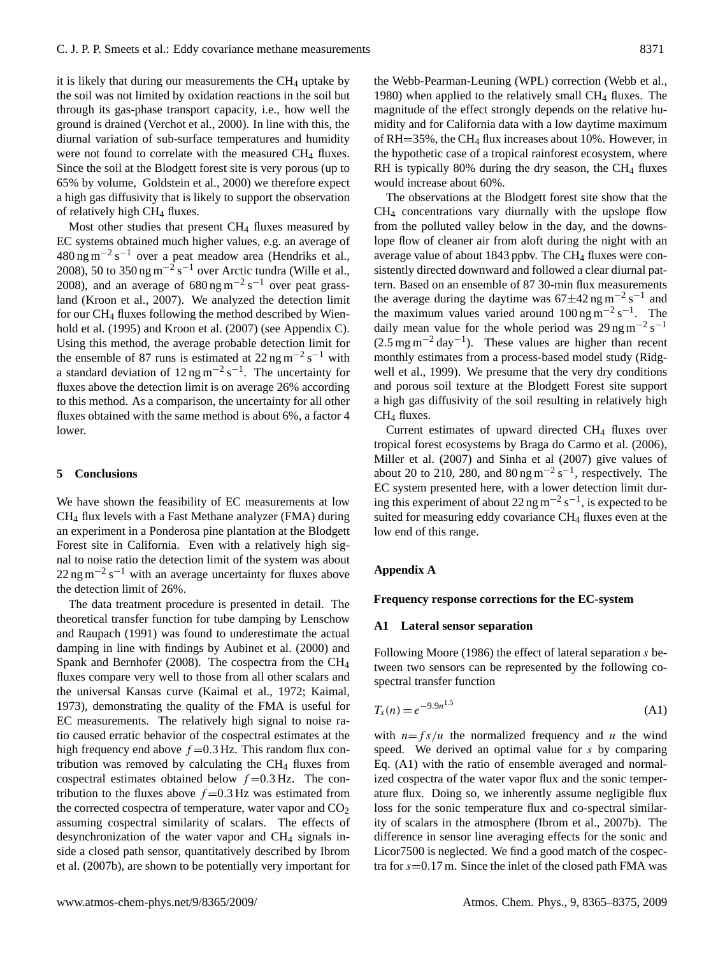it is likely that during our measurements the  $CH<sub>4</sub>$  uptake by the soil was not limited by oxidation reactions in the soil but through its gas-phase transport capacity, i.e., how well the ground is drained [\(Verchot et al.,](#page-10-2) [2000\)](#page-10-2). In line with this, the diurnal variation of sub-surface temperatures and humidity were not found to correlate with the measured CH<sub>4</sub> fluxes. Since the soil at the Blodgett forest site is very porous (up to 65% by volume, [Goldstein et al.,](#page-9-13) [2000\)](#page-9-13) we therefore expect a high gas diffusivity that is likely to support the observation of relatively high CH<sup>4</sup> fluxes.

Most other studies that present CH<sub>4</sub> fluxes measured by EC systems obtained much higher values, e.g. an average of 480 ng m−<sup>2</sup> s <sup>−</sup><sup>1</sup> over a peat meadow area [\(Hendriks et al.,](#page-9-11) [2008\)](#page-9-11), 50 to 350 ng m<sup>-2</sup> s<sup>-1</sup> over Arctic tundra [\(Wille et al.,](#page-10-3) [2008\)](#page-10-3), and an average of  $680 \text{ ng m}^{-2} \text{ s}^{-1}$  over peat grassland [\(Kroon et al.,](#page-9-10) [2007\)](#page-9-10). We analyzed the detection limit for our CH<sup>4</sup> fluxes following the method described by [Wien](#page-10-7)[hold et al.](#page-10-7) [\(1995\)](#page-10-7) and [Kroon et al.](#page-9-10) [\(2007\)](#page-9-10) (see Appendix C). Using this method, the average probable detection limit for the ensemble of 87 runs is estimated at  $22$  ng m<sup>-2</sup> s<sup>-1</sup> with a standard deviation of  $12 \text{ ng m}^{-2} \text{ s}^{-1}$ . The uncertainty for fluxes above the detection limit is on average 26% according to this method. As a comparison, the uncertainty for all other fluxes obtained with the same method is about 6%, a factor 4 lower.

# **5 Conclusions**

We have shown the feasibility of EC measurements at low CH<sup>4</sup> flux levels with a Fast Methane analyzer (FMA) during an experiment in a Ponderosa pine plantation at the Blodgett Forest site in California. Even with a relatively high signal to noise ratio the detection limit of the system was about  $22 \text{ ng m}^{-2} \text{ s}^{-1}$  with an average uncertainty for fluxes above the detection limit of 26%.

The data treatment procedure is presented in detail. The theoretical transfer function for tube damping by [Lenschow](#page-9-17) [and Raupach](#page-9-17) [\(1991\)](#page-9-17) was found to underestimate the actual damping in line with findings by [Aubinet et al.](#page-8-2) [\(2000\)](#page-8-2) and [Spank and Bernhofer](#page-10-5) [\(2008\)](#page-10-5). The cospectra from the CH<sup>4</sup> fluxes compare very well to those from all other scalars and the universal Kansas curve [\(Kaimal et al.,](#page-9-18) [1972;](#page-9-18) [Kaimal,](#page-9-19) [1973\)](#page-9-19), demonstrating the quality of the FMA is useful for EC measurements. The relatively high signal to noise ratio caused erratic behavior of the cospectral estimates at the high frequency end above  $f = 0.3$  Hz. This random flux contribution was removed by calculating the  $CH<sub>4</sub>$  fluxes from cospectral estimates obtained below  $f = 0.3$  Hz. The contribution to the fluxes above  $f = 0.3$  Hz was estimated from the corrected cospectra of temperature, water vapor and  $CO<sub>2</sub>$ assuming cospectral similarity of scalars. The effects of desynchronization of the water vapor and CH<sup>4</sup> signals inside a closed path sensor, quantitatively described by [Ibrom](#page-9-24) [et al.](#page-9-24) [\(2007b\)](#page-9-24), are shown to be potentially very important for the Webb-Pearman-Leuning (WPL) correction [\(Webb et al.,](#page-10-0) [1980\)](#page-10-0) when applied to the relatively small CH<sup>4</sup> fluxes. The magnitude of the effect strongly depends on the relative humidity and for California data with a low daytime maximum of RH=35%, the CH<sup>4</sup> flux increases about 10%. However, in the hypothetic case of a tropical rainforest ecosystem, where RH is typically 80% during the dry season, the CH<sub>4</sub> fluxes would increase about 60%.

The observations at the Blodgett forest site show that the CH<sup>4</sup> concentrations vary diurnally with the upslope flow from the polluted valley below in the day, and the downslope flow of cleaner air from aloft during the night with an average value of about 1843 ppbv. The CH<sub>4</sub> fluxes were consistently directed downward and followed a clear diurnal pattern. Based on an ensemble of 87 30-min flux measurements the average during the daytime was  $67 \pm 42$  ng m<sup>-2</sup> s<sup>-1</sup> and the maximum values varied around  $100 \text{ ng m}^{-2} \text{ s}^{-1}$ . The daily mean value for the whole period was 29 ng m<sup>-2</sup> s<sup>-1</sup>  $(2.5 \text{ mg m}^{-2} \text{ day}^{-1})$ . These values are higher than recent monthly estimates from a process-based model study [\(Ridg](#page-9-12)[well et al.,](#page-9-12) [1999\)](#page-9-12). We presume that the very dry conditions and porous soil texture at the Blodgett Forest site support a high gas diffusivity of the soil resulting in relatively high CH<sup>4</sup> fluxes.

Current estimates of upward directed CH<sup>4</sup> fluxes over tropical forest ecosystems by [Braga do Carmo et al.](#page-8-0) [\(2006\)](#page-8-0), [Miller et al.](#page-9-2) [\(2007\)](#page-9-2) and [Sinha et al](#page-9-9) [\(2007\)](#page-9-9) give values of about 20 to 210, 280, and  $80 \text{ ng m}^{-2} \text{ s}^{-1}$ , respectively. The EC system presented here, with a lower detection limit during this experiment of about 22 ng m<sup>-2</sup> s<sup>-1</sup>, is expected to be suited for measuring eddy covariance CH<sub>4</sub> fluxes even at the low end of this range.

# **Appendix A**

# **Frequency response corrections for the EC-system**

#### **A1 Lateral sensor separation**

<span id="page-6-0"></span>Following [Moore](#page-9-15) [\(1986\)](#page-9-15) the effect of lateral separation s between two sensors can be represented by the following cospectral transfer function

$$
T_s(n) = e^{-9.9n^{1.5}}
$$
 (A1)

with  $n = f s/u$  the normalized frequency and u the wind speed. We derived an optimal value for s by comparing Eq. [\(A1\)](#page-6-0) with the ratio of ensemble averaged and normalized cospectra of the water vapor flux and the sonic temperature flux. Doing so, we inherently assume negligible flux loss for the sonic temperature flux and co-spectral similarity of scalars in the atmosphere [\(Ibrom et al.,](#page-9-24) [2007b\)](#page-9-24). The difference in sensor line averaging effects for the sonic and Licor7500 is neglected. We find a good match of the cospectra for  $s=0.17$  m. Since the inlet of the closed path FMA was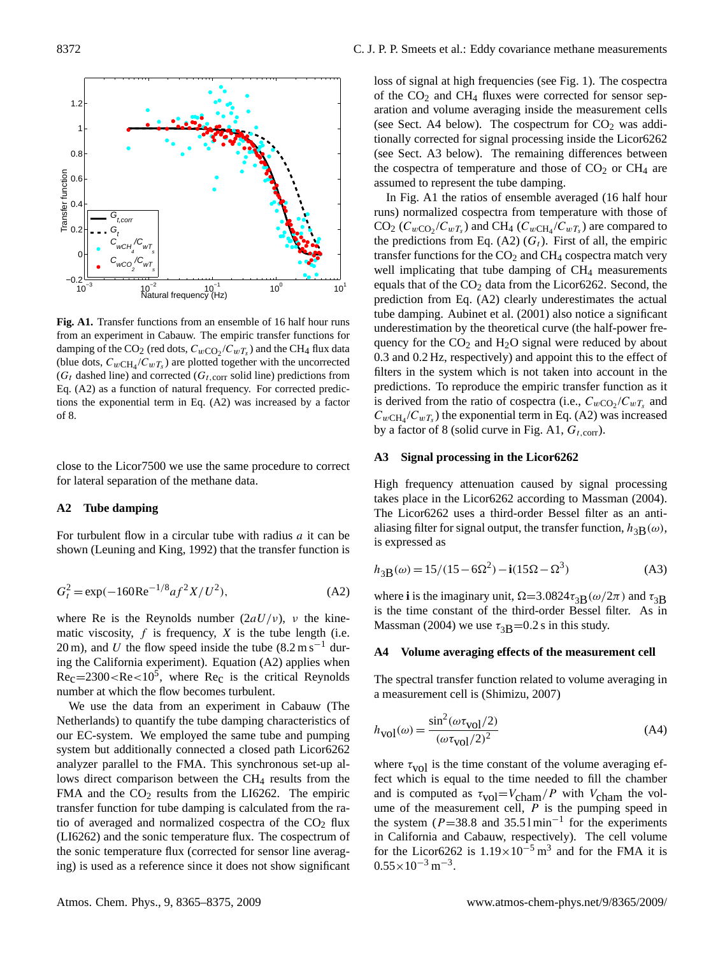

**Fig. A1.** Transfer functions from an ensemble of 16 half hour runs from an experiment in Cabauw. The empiric transfer functions for damping of the CO<sub>2</sub> (red dots,  $C_{w\text{CO}_2}/C_{wT_s}$ ) and the CH<sub>4</sub> flux data (blue dots,  $C_{wCH_4}/C_{wT_s}$ ) are plotted together with the uncorrected ( $G_t$  dashed line) and corrected ( $G_{t,corr}$  solid line) predictions from Eq. [\(A2\)](#page-7-0) as a function of natural frequency. For corrected predictions the exponential term in Eq. [\(A2\)](#page-7-0) was increased by a factor of 8.

close to the Licor7500 we use the same procedure to correct for lateral separation of the methane data.

# **A2 Tube damping**

<span id="page-7-0"></span>For turbulent flow in a circular tube with radius  $a$  it can be shown [\(Leuning and King,](#page-9-29) [1992\)](#page-9-29) that the transfer function is

$$
G_t^2 = \exp(-160\text{Re}^{-1/8}af^2X/U^2),\tag{A2}
$$

where Re is the Reynolds number  $(2aU/v)$ , *v* the kinematic viscosity,  $f$  is frequency,  $X$  is the tube length (i.e. 20 m), and U the flow speed inside the tube  $(8.2 \text{ m s}^{-1}$  during the California experiment). Equation [\(A2\)](#page-7-0) applies when  $Re<sub>c</sub>=2300 < Re<10<sup>5</sup>$ , where  $Re<sub>c</sub>$  is the critical Reynolds number at which the flow becomes turbulent.

We use the data from an experiment in Cabauw (The Netherlands) to quantify the tube damping characteristics of our EC-system. We employed the same tube and pumping system but additionally connected a closed path Licor6262 analyzer parallel to the FMA. This synchronous set-up allows direct comparison between the CH<sub>4</sub> results from the FMA and the  $CO<sub>2</sub>$  results from the LI6262. The empiric transfer function for tube damping is calculated from the ratio of averaged and normalized cospectra of the  $CO<sub>2</sub>$  flux (LI6262) and the sonic temperature flux. The cospectrum of the sonic temperature flux (corrected for sensor line averaging) is used as a reference since it does not show significant loss of signal at high frequencies (see Fig. 1). The cospectra of the  $CO<sub>2</sub>$  and  $CH<sub>4</sub>$  fluxes were corrected for sensor separation and volume averaging inside the measurement cells (see Sect. [A4](#page-7-1) below). The cospectrum for  $CO<sub>2</sub>$  was additionally corrected for signal processing inside the Licor6262 (see Sect. [A3](#page-7-2) below). The remaining differences between the cospectra of temperature and those of  $CO<sub>2</sub>$  or  $CH<sub>4</sub>$  are assumed to represent the tube damping.

In Fig. A1 the ratios of ensemble averaged (16 half hour runs) normalized cospectra from temperature with those of  $CO_2$  ( $C_{wCO_2}/C_{wT_s}$ ) and CH<sub>4</sub> ( $C_{wCH_4}/C_{wT_s}$ ) are compared to the predictions from Eq. [\(A2\)](#page-7-0)  $(G_t)$ . First of all, the empiric transfer functions for the  $CO<sub>2</sub>$  and  $CH<sub>4</sub>$  cospectra match very well implicating that tube damping of  $CH<sub>4</sub>$  measurements equals that of the  $CO<sub>2</sub>$  data from the Licor6262. Second, the prediction from Eq. [\(A2\)](#page-7-0) clearly underestimates the actual tube damping. [Aubinet et al.](#page-8-1) [\(2001\)](#page-8-1) also notice a significant underestimation by the theoretical curve (the half-power frequency for the  $CO<sub>2</sub>$  and  $H<sub>2</sub>O$  signal were reduced by about 0.3 and 0.2 Hz, respectively) and appoint this to the effect of filters in the system which is not taken into account in the predictions. To reproduce the empiric transfer function as it is derived from the ratio of cospectra (i.e.,  $C_{wCO_2}/C_{wT_s}$  and  $C_{wCH_4}/C_{wT_s}$ ) the exponential term in Eq. [\(A2\)](#page-7-0) was increased by a factor of 8 (solid curve in Fig. A1,  $G_{t,corr}$ ).

## <span id="page-7-2"></span>**A3 Signal processing in the Licor6262**

High frequency attenuation caused by signal processing takes place in the Licor6262 according to [Massman](#page-9-21) [\(2004\)](#page-9-21). The Licor6262 uses a third-order Bessel filter as an antialiasing filter for signal output, the transfer function,  $h_{3\mathbf{B}}(\omega)$ , is expressed as

$$
h_{3B}(\omega) = 15/(15 - 6\Omega^{2}) - i(15\Omega - \Omega^{3})
$$
 (A3)

where **i** is the imaginary unit,  $\Omega = 3.0824 \tau_{3B}(\omega/2\pi)$  and  $\tau_{3B}$ is the time constant of the third-order Bessel filter. As in Massman (2004) we use  $\tau_{3B}$ =0.2 s in this study.

#### <span id="page-7-1"></span>**A4 Volume averaging effects of the measurement cell**

The spectral transfer function related to volume averaging in a measurement cell is [\(Shimizu,](#page-9-30) [2007\)](#page-9-30)

$$
h_{\text{vol}}(\omega) = \frac{\sin^2(\omega \tau_{\text{vol}}/2)}{(\omega \tau_{\text{vol}}/2)^2}
$$
(A4)

where  $\tau_{\text{vol}}$  is the time constant of the volume averaging effect which is equal to the time needed to fill the chamber and is computed as  $\tau_{\text{vol}}=V_{\text{cham}}/P$  with  $V_{\text{cham}}$  the volume of the measurement cell,  $P$  is the pumping speed in the system  $(P=38.8$  and  $35.51$  min<sup>-1</sup> for the experiments in California and Cabauw, respectively). The cell volume for the Licor6262 is  $1.19 \times 10^{-5}$  m<sup>3</sup> and for the FMA it is  $0.55 \times 10^{-3}$  m<sup>-3</sup>.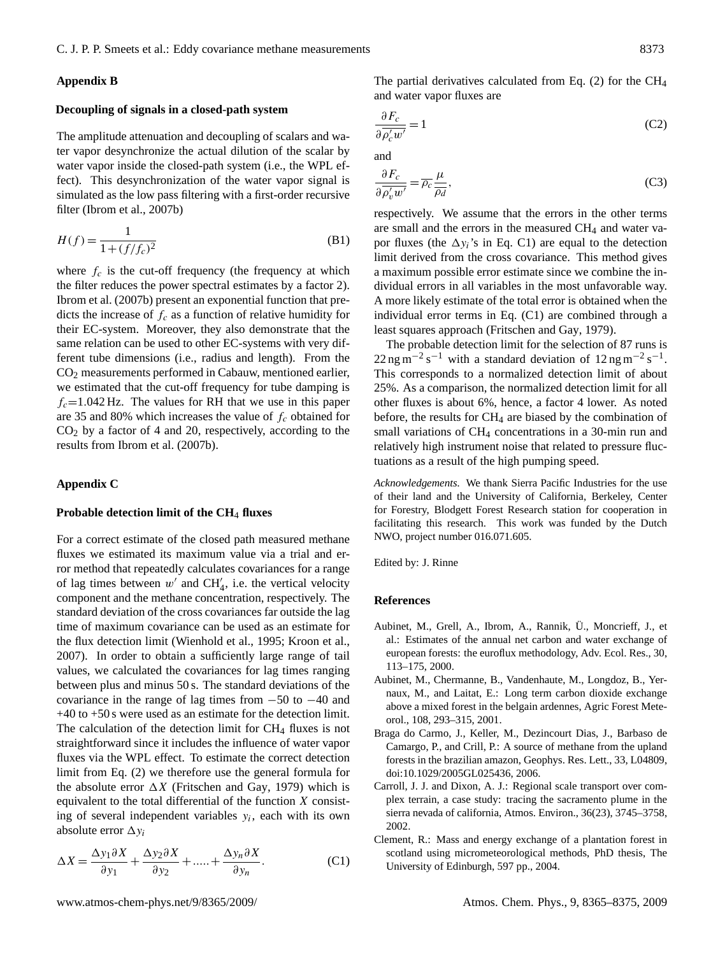# **Appendix B**

# **Decoupling of signals in a closed-path system**

The amplitude attenuation and decoupling of scalars and water vapor desynchronize the actual dilution of the scalar by water vapor inside the closed-path system (i.e., the WPL effect). This desynchronization of the water vapor signal is simulated as the low pass filtering with a first-order recursive filter [\(Ibrom et al.,](#page-9-24) [2007b\)](#page-9-24)

$$
H(f) = \frac{1}{1 + (f/f_c)^2}
$$
 (B1)

where  $f_c$  is the cut-off frequency (the frequency at which the filter reduces the power spectral estimates by a factor 2). [Ibrom et al.](#page-9-24) [\(2007b\)](#page-9-24) present an exponential function that predicts the increase of  $f_c$  as a function of relative humidity for their EC-system. Moreover, they also demonstrate that the same relation can be used to other EC-systems with very different tube dimensions (i.e., radius and length). From the CO<sup>2</sup> measurements performed in Cabauw, mentioned earlier, we estimated that the cut-off frequency for tube damping is  $f_c$ =1.042 Hz. The values for RH that we use in this paper are 35 and 80% which increases the value of  $f_c$  obtained for  $CO<sub>2</sub>$  by a factor of 4 and 20, respectively, according to the results from [Ibrom et al.](#page-9-24) [\(2007b\)](#page-9-24).

# **Appendix C**

### **Probable detection limit of the CH**<sup>4</sup> **fluxes**

For a correct estimate of the closed path measured methane fluxes we estimated its maximum value via a trial and error method that repeatedly calculates covariances for a range of lag times between  $w'$  and CH<sup>'</sup><sub>4</sub>, i.e. the vertical velocity component and the methane concentration, respectively. The standard deviation of the cross covariances far outside the lag time of maximum covariance can be used as an estimate for the flux detection limit [\(Wienhold et al.,](#page-10-7) [1995;](#page-10-7) [Kroon et al.,](#page-9-10) [2007\)](#page-9-10). In order to obtain a sufficiently large range of tail values, we calculated the covariances for lag times ranging between plus and minus 50 s. The standard deviations of the covariance in the range of lag times from  $-50$  to  $-40$  and +40 to +50 s were used as an estimate for the detection limit. The calculation of the detection limit for  $CH<sub>4</sub>$  fluxes is not straightforward since it includes the influence of water vapor fluxes via the WPL effect. To estimate the correct detection limit from Eq. [\(2\)](#page-3-2) we therefore use the general formula for the absolute error  $\Delta X$  [\(Fritschen and Gay,](#page-9-31) [1979\)](#page-9-31) which is equivalent to the total differential of the function X consisting of several independent variables  $y_i$ , each with its own absolute error  $\Delta y_i$ 

<span id="page-8-5"></span>
$$
\Delta X = \frac{\Delta y_1 \partial X}{\partial y_1} + \frac{\Delta y_2 \partial X}{\partial y_2} + \dots + \frac{\Delta y_n \partial X}{\partial y_n}.
$$
 (C1)

The partial derivatives calculated from Eq. [\(2\)](#page-3-2) for the CH<sup>4</sup> and water vapor fluxes are

$$
\frac{\partial F_c}{\partial \rho_c' w'} = 1\tag{C2}
$$

and

$$
\frac{\partial F_c}{\partial \overline{\rho'_v w'}} = \overline{\rho_c} \frac{\mu}{\overline{\rho_d}},\tag{C3}
$$

respectively. We assume that the errors in the other terms are small and the errors in the measured  $CH<sub>4</sub>$  and water vapor fluxes (the  $\Delta y_i$ 's in Eq. [C1\)](#page-8-5) are equal to the detection limit derived from the cross covariance. This method gives a maximum possible error estimate since we combine the individual errors in all variables in the most unfavorable way. A more likely estimate of the total error is obtained when the individual error terms in Eq. [\(C1\)](#page-8-5) are combined through a least squares approach [\(Fritschen and Gay,](#page-9-31) [1979\)](#page-9-31).

The probable detection limit for the selection of 87 runs is  $22 \text{ ng m}^{-2} \text{ s}^{-1}$  with a standard deviation of 12 ng m<sup>-2</sup> s<sup>-1</sup>. This corresponds to a normalized detection limit of about 25%. As a comparison, the normalized detection limit for all other fluxes is about 6%, hence, a factor 4 lower. As noted before, the results for CH<sup>4</sup> are biased by the combination of small variations of  $CH_4$  concentrations in a 30-min run and relatively high instrument noise that related to pressure fluctuations as a result of the high pumping speed.

*Acknowledgements.* We thank Sierra Pacific Industries for the use of their land and the University of California, Berkeley, Center for Forestry, Blodgett Forest Research station for cooperation in facilitating this research. This work was funded by the Dutch NWO, project number 016.071.605.

Edited by: J. Rinne

## **References**

- <span id="page-8-2"></span>Aubinet, M., Grell, A., Ibrom, A., Rannik, U., Moncrieff, J., et ¨ al.: Estimates of the annual net carbon and water exchange of european forests: the euroflux methodology, Adv. Ecol. Res., 30, 113–175, 2000.
- <span id="page-8-1"></span>Aubinet, M., Chermanne, B., Vandenhaute, M., Longdoz, B., Yernaux, M., and Laitat, E.: Long term carbon dioxide exchange above a mixed forest in the belgain ardennes, Agric Forest Meteorol., 108, 293–315, 2001.
- <span id="page-8-0"></span>Braga do Carmo, J., Keller, M., Dezincourt Dias, J., Barbaso de Camargo, P., and Crill, P.: A source of methane from the upland forests in the brazilian amazon, Geophys. Res. Lett., 33, L04809, doi:10.1029/2005GL025436, 2006.
- <span id="page-8-4"></span>Carroll, J. J. and Dixon, A. J.: Regional scale transport over complex terrain, a case study: tracing the sacramento plume in the sierra nevada of california, Atmos. Environ., 36(23), 3745–3758, 2002.
- <span id="page-8-3"></span>Clement, R.: Mass and energy exchange of a plantation forest in scotland using micrometeorological methods, PhD thesis, The University of Edinburgh, 597 pp., 2004.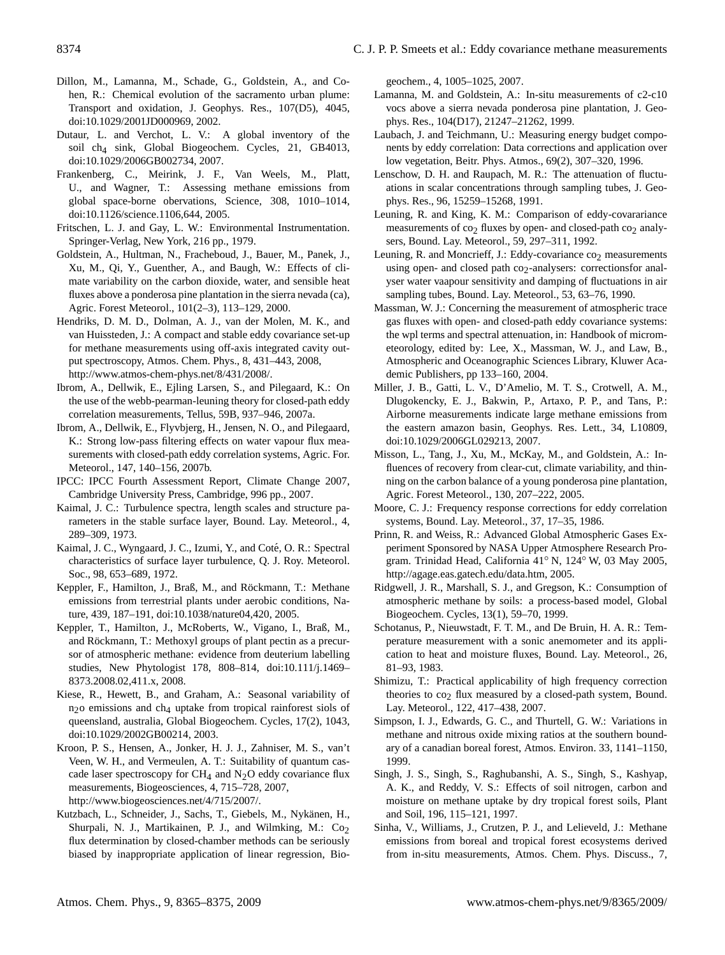- <span id="page-9-26"></span>Dillon, M., Lamanna, M., Schade, G., Goldstein, A., and Cohen, R.: Chemical evolution of the sacramento urban plume: Transport and oxidation, J. Geophys. Res., 107(D5), 4045, doi:10.1029/2001JD000969, 2002.
- <span id="page-9-28"></span>Dutaur, L. and Verchot, L. V.: A global inventory of the soil ch4 sink, Global Biogeochem. Cycles, 21, GB4013, doi:10.1029/2006GB002734, 2007.
- <span id="page-9-1"></span>Frankenberg, C., Meirink, J. F., Van Weels, M., Platt, U., and Wagner, T.: Assessing methane emissions from global space-borne obervations, Science, 308, 1010–1014, doi:10.1126/science.1106,644, 2005.
- <span id="page-9-31"></span>Fritschen, L. J. and Gay, L. W.: Environmental Instrumentation. Springer-Verlag, New York, 216 pp., 1979.
- <span id="page-9-13"></span>Goldstein, A., Hultman, N., Fracheboud, J., Bauer, M., Panek, J., Xu, M., Qi, Y., Guenther, A., and Baugh, W.: Effects of climate variability on the carbon dioxide, water, and sensible heat fluxes above a ponderosa pine plantation in the sierra nevada (ca), Agric. Forest Meteorol., 101(2–3), 113–129, 2000.
- <span id="page-9-11"></span>Hendriks, D. M. D., Dolman, A. J., van der Molen, M. K., and van Huissteden, J.: A compact and stable eddy covariance set-up for methane measurements using off-axis integrated cavity output spectroscopy, Atmos. Chem. Phys., 8, 431–443, 2008, [http://www.atmos-chem-phys.net/8/431/2008/.](http://www.atmos-chem-phys.net/8/431/2008/)
- <span id="page-9-22"></span>Ibrom, A., Dellwik, E., Ejling Larsen, S., and Pilegaard, K.: On the use of the webb-pearman-leuning theory for closed-path eddy correlation measurements, Tellus, 59B, 937–946, 2007a.
- <span id="page-9-24"></span>Ibrom, A., Dellwik, E., Flyvbjerg, H., Jensen, N. O., and Pilegaard, K.: Strong low-pass filtering effects on water vapour flux measurements with closed-path eddy correlation systems, Agric. For. Meteorol., 147, 140–156, 2007b.
- <span id="page-9-0"></span>IPCC: IPCC Fourth Assessment Report, Climate Change 2007, Cambridge University Press, Cambridge, 996 pp., 2007.
- <span id="page-9-19"></span>Kaimal, J. C.: Turbulence spectra, length scales and structure parameters in the stable surface layer, Bound. Lay. Meteorol., 4, 289–309, 1973.
- <span id="page-9-18"></span>Kaimal, J. C., Wyngaard, J. C., Izumi, Y., and Coté, O. R.: Spectral characteristics of surface layer turbulence, Q. J. Roy. Meteorol. Soc., 98, 653–689, 1972.
- <span id="page-9-3"></span>Keppler, F., Hamilton, J., Braß, M., and Röckmann, T.: Methane emissions from terrestrial plants under aerobic conditions, Nature, 439, 187–191, doi:10.1038/nature04,420, 2005.
- <span id="page-9-4"></span>Keppler, T., Hamilton, J., McRoberts, W., Vigano, I., Braß, M., and Röckmann, T.: Methoxyl groups of plant pectin as a precursor of atmospheric methane: evidence from deuterium labelling studies, New Phytologist 178, 808–814, doi:10.111/j.1469– 8373.2008.02,411.x, 2008.
- <span id="page-9-6"></span>Kiese, R., Hewett, B., and Graham, A.: Seasonal variability of n2o emissions and ch4 uptake from tropical rainforest siols of queensland, australia, Global Biogeochem. Cycles, 17(2), 1043, doi:10.1029/2002GB00214, 2003.
- <span id="page-9-10"></span>Kroon, P. S., Hensen, A., Jonker, H. J. J., Zahniser, M. S., van't Veen, W. H., and Vermeulen, A. T.: Suitability of quantum cascade laser spectroscopy for  $CH_4$  and  $N_2O$  eddy covariance flux measurements, Biogeosciences, 4, 715–728, 2007, [http://www.biogeosciences.net/4/715/2007/.](http://www.biogeosciences.net/4/715/2007/)
- <span id="page-9-7"></span>Kutzbach, L., Schneider, J., Sachs, T., Giebels, M., Nykänen, H., Shurpali, N. J., Martikainen, P. J., and Wilmking, M.:  $Co<sub>2</sub>$ flux determination by closed-chamber methods can be seriously biased by inappropriate application of linear regression, Bio-

geochem., 4, 1005–1025, 2007.

- <span id="page-9-25"></span>Lamanna, M. and Goldstein, A.: In-situ measurements of c2-c10 vocs above a sierra nevada ponderosa pine plantation, J. Geophys. Res., 104(D17), 21247–21262, 1999.
- <span id="page-9-23"></span>Laubach, J. and Teichmann, U.: Measuring energy budget components by eddy correlation: Data corrections and application over low vegetation, Beitr. Phys. Atmos., 69(2), 307–320, 1996.
- <span id="page-9-17"></span>Lenschow, D. H. and Raupach, M. R.: The attenuation of fluctuations in scalar concentrations through sampling tubes, J. Geophys. Res., 96, 15259–15268, 1991.
- <span id="page-9-29"></span>Leuning, R. and King, K. M.: Comparison of eddy-covarariance measurements of  $\cos_2$  fluxes by open- and closed-path  $\cos_2$  analysers, Bound. Lay. Meteorol., 59, 297–311, 1992.
- <span id="page-9-20"></span>Leuning, R. and Moncrieff, J.: Eddy-covariance  $co<sub>2</sub>$  measurements using open- and closed path co<sub>2</sub>-analysers: correctionsfor analyser water vaapour sensitivity and damping of fluctuations in air sampling tubes, Bound. Lay. Meteorol., 53, 63–76, 1990.
- <span id="page-9-21"></span>Massman, W. J.: Concerning the measurement of atmospheric trace gas fluxes with open- and closed-path eddy covariance systems: the wpl terms and spectral attenuation, in: Handbook of micrometeorology, edited by: Lee, X., Massman, W. J., and Law, B., Atmospheric and Oceanographic Sciences Library, Kluwer Academic Publishers, pp 133–160, 2004.
- <span id="page-9-2"></span>Miller, J. B., Gatti, L. V., D'Amelio, M. T. S., Crotwell, A. M., Dlugokencky, E. J., Bakwin, P., Artaxo, P. P., and Tans, P.: Airborne measurements indicate large methane emissions from the eastern amazon basin, Geophys. Res. Lett., 34, L10809, doi:10.1029/2006GL029213, 2007.
- <span id="page-9-14"></span>Misson, L., Tang, J., Xu, M., McKay, M., and Goldstein, A.: Influences of recovery from clear-cut, climate variability, and thinning on the carbon balance of a young ponderosa pine plantation, Agric. Forest Meteorol., 130, 207–222, 2005.
- <span id="page-9-15"></span>Moore, C. J.: Frequency response corrections for eddy correlation systems, Bound. Lay. Meteorol., 37, 17–35, 1986.
- <span id="page-9-27"></span>Prinn, R. and Weiss, R.: Advanced Global Atmospheric Gases Experiment Sponsored by NASA Upper Atmosphere Research Program. Trinidad Head, California 41◦ N, 124◦ W, 03 May 2005, [http://agage.eas.gatech.edu/data.htm,](http://agage.eas.gatech.edu/data.htm) 2005.
- <span id="page-9-12"></span>Ridgwell, J. R., Marshall, S. J., and Gregson, K.: Consumption of atmospheric methane by soils: a process-based model, Global Biogeochem. Cycles, 13(1), 59–70, 1999.
- <span id="page-9-16"></span>Schotanus, P., Nieuwstadt, F. T. M., and De Bruin, H. A. R.: Temperature measurement with a sonic anemometer and its application to heat and moisture fluxes, Bound. Lay. Meteorol., 26, 81–93, 1983.
- <span id="page-9-30"></span>Shimizu, T.: Practical applicability of high frequency correction theories to  $co<sub>2</sub>$  flux measured by a closed-path system, Bound. Lay. Meteorol., 122, 417–438, 2007.
- <span id="page-9-8"></span>Simpson, I. J., Edwards, G. C., and Thurtell, G. W.: Variations in methane and nitrous oxide mixing ratios at the southern boundary of a canadian boreal forest, Atmos. Environ. 33, 1141–1150, 1999.
- <span id="page-9-5"></span>Singh, J. S., Singh, S., Raghubanshi, A. S., Singh, S., Kashyap, A. K., and Reddy, V. S.: Effects of soil nitrogen, carbon and moisture on methane uptake by dry tropical forest soils, Plant and Soil, 196, 115–121, 1997.
- <span id="page-9-9"></span>Sinha, V., Williams, J., Crutzen, P. J., and Lelieveld, J.: Methane emissions from boreal and tropical forest ecosystems derived from in-situ measurements, Atmos. Chem. Phys. Discuss., 7,